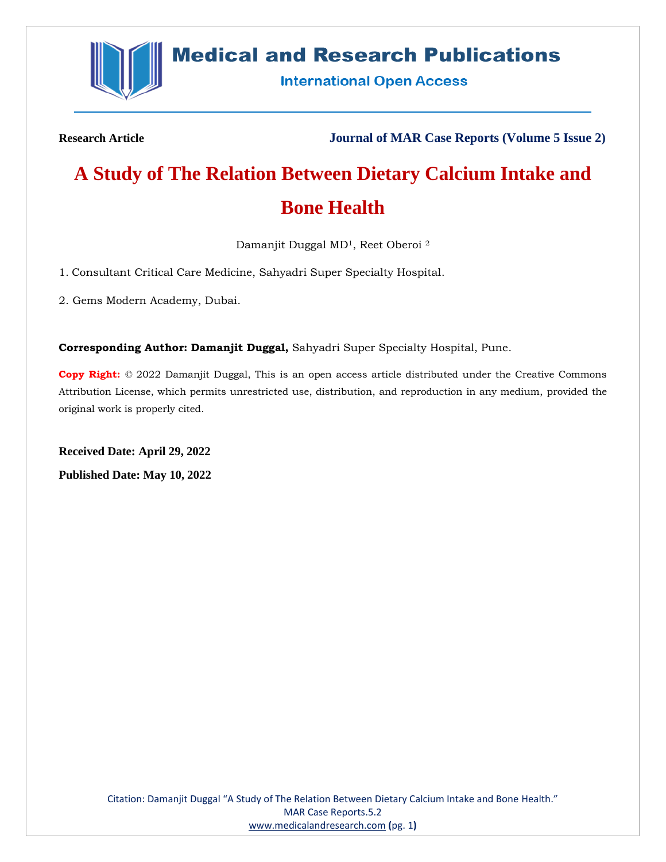

## **Medical and Research Publications**

**International Open Access** 

**Research Article Journal of MAR Case Reports (Volume 5 Issue 2)**

# **A Study of The Relation Between Dietary Calcium Intake and Bone Health**

Damanjit Duggal MD1, Reet Oberoi <sup>2</sup>

1. Consultant Critical Care Medicine, Sahyadri Super Specialty Hospital.

2. Gems Modern Academy, Dubai.

**Corresponding Author: Damanjit Duggal,** Sahyadri Super Specialty Hospital, Pune.

**Copy Right:** © 2022 Damanjit Duggal, This is an open access article distributed under the Creative Commons Attribution License, which permits unrestricted use, distribution, and reproduction in any medium, provided the original work is properly cited.

**Received Date: April 29, 2022 Published Date: May 10, 2022**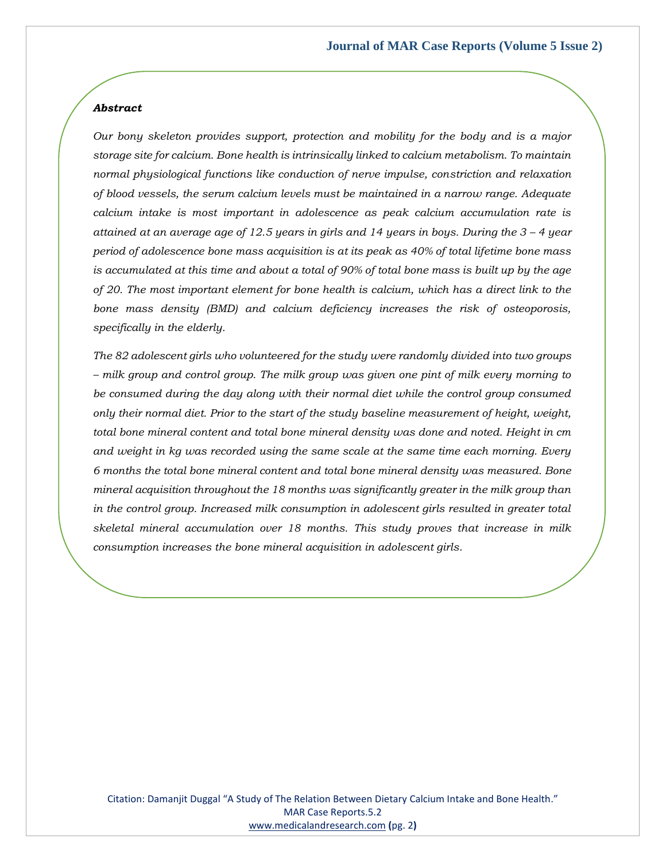#### *Abstract*

*Our bony skeleton provides support, protection and mobility for the body and is a major storage site for calcium. Bone health is intrinsically linked to calcium metabolism. To maintain normal physiological functions like conduction of nerve impulse, constriction and relaxation of blood vessels, the serum calcium levels must be maintained in a narrow range. Adequate calcium intake is most important in adolescence as peak calcium accumulation rate is attained at an average age of 12.5 years in girls and 14 years in boys. During the 3 – 4 year period of adolescence bone mass acquisition is at its peak as 40% of total lifetime bone mass is accumulated at this time and about a total of 90% of total bone mass is built up by the age of 20. The most important element for bone health is calcium, which has a direct link to the bone mass density (BMD) and calcium deficiency increases the risk of osteoporosis, specifically in the elderly.* 

*The 82 adolescent girls who volunteered for the study were randomly divided into two groups – milk group and control group. The milk group was given one pint of milk every morning to be consumed during the day along with their normal diet while the control group consumed only their normal diet. Prior to the start of the study baseline measurement of height, weight, total bone mineral content and total bone mineral density was done and noted. Height in cm and weight in kg was recorded using the same scale at the same time each morning. Every 6 months the total bone mineral content and total bone mineral density was measured. Bone mineral acquisition throughout the 18 months was significantly greater in the milk group than in the control group. Increased milk consumption in adolescent girls resulted in greater total skeletal mineral accumulation over 18 months. This study proves that increase in milk consumption increases the bone mineral acquisition in adolescent girls.*

Citation: Damanjit Duggal "A Study of The Relation Between Dietary Calcium Intake and Bone Health." MAR Case Reports.5.2 [www.medicalandresearch.com](http://www.medicalandresearch.com/) **(**pg. 2**)**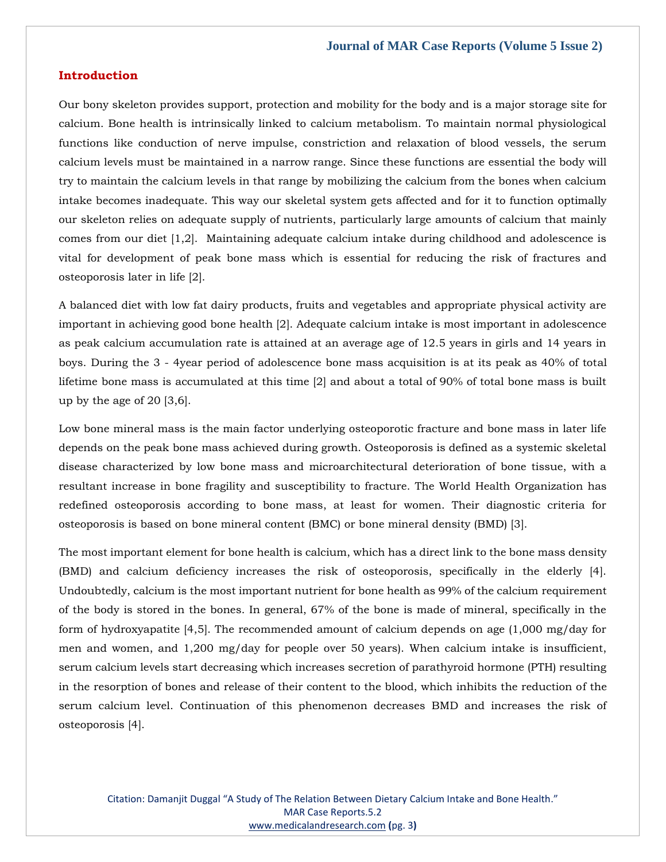#### **Introduction**

Our bony skeleton provides support, protection and mobility for the body and is a major storage site for calcium. Bone health is intrinsically linked to calcium metabolism. To maintain normal physiological functions like conduction of nerve impulse, constriction and relaxation of blood vessels, the serum calcium levels must be maintained in a narrow range. Since these functions are essential the body will try to maintain the calcium levels in that range by mobilizing the calcium from the bones when calcium intake becomes inadequate. This way our skeletal system gets affected and for it to function optimally our skeleton relies on adequate supply of nutrients, particularly large amounts of calcium that mainly comes from our diet [1,2]. Maintaining adequate calcium intake during childhood and adolescence is vital for development of peak bone mass which is essential for reducing the risk of fractures and osteoporosis later in life [2].

A balanced diet with low fat dairy products, fruits and vegetables and appropriate physical activity are important in achieving good bone health [2]. Adequate calcium intake is most important in adolescence as peak calcium accumulation rate is attained at an average age of 12.5 years in girls and 14 years in boys. During the 3 - 4year period of adolescence bone mass acquisition is at its peak as 40% of total lifetime bone mass is accumulated at this time [2] and about a total of 90% of total bone mass is built up by the age of 20 [3,6].

Low bone mineral mass is the main factor underlying osteoporotic fracture and bone mass in later life depends on the peak bone mass achieved during growth. Osteoporosis is defined as a systemic skeletal disease characterized by low bone mass and microarchitectural deterioration of bone tissue, with a resultant increase in bone fragility and susceptibility to fracture. The World Health Organization has redefined osteoporosis according to bone mass, at least for women. Their diagnostic criteria for osteoporosis is based on bone mineral content (BMC) or bone mineral density (BMD) [3].

The most important element for bone health is calcium, which has a direct link to the bone mass density (BMD) and calcium deficiency increases the risk of osteoporosis, specifically in the elderly [4]. Undoubtedly, calcium is the most important nutrient for bone health as 99% of the calcium requirement of the body is stored in the bones. In general, 67% of the bone is made of mineral, specifically in the form of hydroxyapatite [4,5]. The recommended amount of calcium depends on age (1,000 mg/day for men and women, and 1,200 mg/day for people over 50 years). When calcium intake is insufficient, serum calcium levels start decreasing which increases secretion of parathyroid hormone (PTH) resulting in the resorption of bones and release of their content to the blood, which inhibits the reduction of the serum calcium level. Continuation of this phenomenon decreases BMD and increases the risk of osteoporosis [4].

Citation: Damanjit Duggal "A Study of The Relation Between Dietary Calcium Intake and Bone Health." MAR Case Reports.5.2 [www.medicalandresearch.com](http://www.medicalandresearch.com/) **(**pg. 3**)**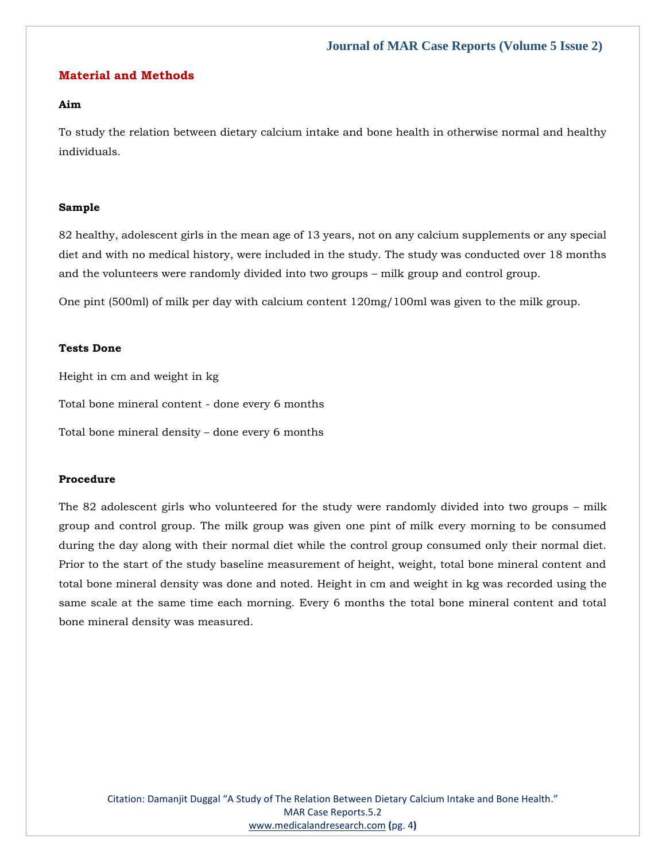#### **Material and Methods**

#### **Aim**

To study the relation between dietary calcium intake and bone health in otherwise normal and healthy individuals.

#### **Sample**

82 healthy, adolescent girls in the mean age of 13 years, not on any calcium supplements or any special diet and with no medical history, were included in the study. The study was conducted over 18 months and the volunteers were randomly divided into two groups – milk group and control group.

One pint (500ml) of milk per day with calcium content 120mg/100ml was given to the milk group.

#### **Tests Done**

Height in cm and weight in kg Total bone mineral content - done every 6 months Total bone mineral density – done every 6 months

#### **Procedure**

The 82 adolescent girls who volunteered for the study were randomly divided into two groups – milk group and control group. The milk group was given one pint of milk every morning to be consumed during the day along with their normal diet while the control group consumed only their normal diet. Prior to the start of the study baseline measurement of height, weight, total bone mineral content and total bone mineral density was done and noted. Height in cm and weight in kg was recorded using the same scale at the same time each morning. Every 6 months the total bone mineral content and total bone mineral density was measured.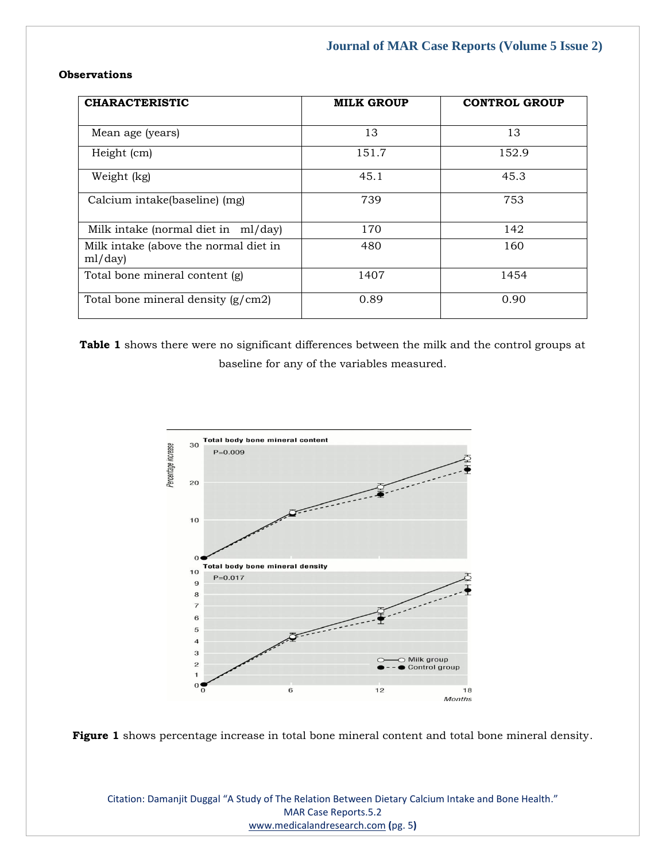#### **Observations**

| <b>CHARACTERISTIC</b>                            | <b>MILK GROUP</b> | <b>CONTROL GROUP</b> |
|--------------------------------------------------|-------------------|----------------------|
| Mean age (years)                                 | 13                | 13                   |
| Height (cm)                                      | 151.7             | 152.9                |
| Weight (kg)                                      | 45.1              | 45.3                 |
| Calcium intake(baseline) (mg)                    | 739               | 753                  |
| Milk intake (normal diet in ml/day)              | 170               | 142                  |
| Milk intake (above the normal diet in<br>ml/day) | 480               | 160                  |
| Total bone mineral content (g)                   | 1407              | 1454                 |
| Total bone mineral density (g/cm2)               | 0.89              | 0.90                 |

**Table 1** shows there were no significant differences between the milk and the control groups at baseline for any of the variables measured.





Citation: Damanjit Duggal "A Study of The Relation Between Dietary Calcium Intake and Bone Health." MAR Case Reports.5.2 [www.medicalandresearch.com](http://www.medicalandresearch.com/) **(**pg. 5**)**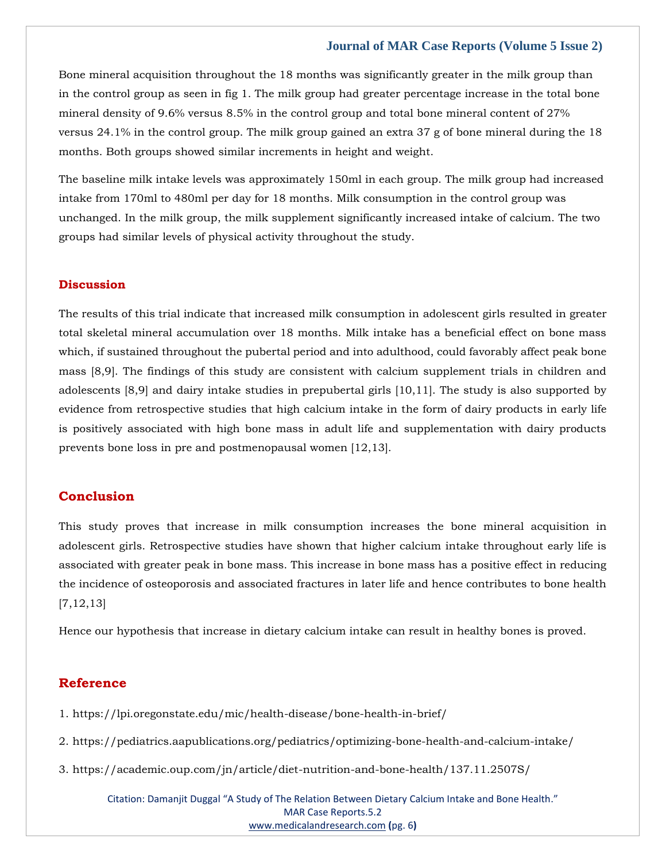#### **Journal of MAR Case Reports (Volume 5 Issue 2)**

Bone mineral acquisition throughout the 18 months was significantly greater in the milk group than in the control group as seen in fig 1. The milk group had greater percentage increase in the total bone mineral density of 9.6% versus 8.5% in the control group and total bone mineral content of 27% versus 24.1% in the control group. The milk group gained an extra 37 g of bone mineral during the 18 months. Both groups showed similar increments in height and weight.

The baseline milk intake levels was approximately 150ml in each group. The milk group had increased intake from 170ml to 480ml per day for 18 months. Milk consumption in the control group was unchanged. In the milk group, the milk supplement significantly increased intake of calcium. The two groups had similar levels of physical activity throughout the study.

#### **Discussion**

The results of this trial indicate that increased milk consumption in adolescent girls resulted in greater total skeletal mineral accumulation over 18 months. Milk intake has a beneficial effect on bone mass which, if sustained throughout the pubertal period and into adulthood, could favorably affect peak bone mass [8,9]. The findings of this study are consistent with calcium supplement trials in children and adolescents [8,9] and dairy intake studies in prepubertal girls [10,11]. The study is also supported by evidence from retrospective studies that high calcium intake in the form of dairy products in early life is positively associated with high bone mass in adult life and supplementation with dairy products prevents bone loss in pre and postmenopausal women [12,13].

#### **Conclusion**

This study proves that increase in milk consumption increases the bone mineral acquisition in adolescent girls. Retrospective studies have shown that higher calcium intake throughout early life is associated with greater peak in bone mass. This increase in bone mass has a positive effect in reducing the incidence of osteoporosis and associated fractures in later life and hence contributes to bone health [7,12,13]

Hence our hypothesis that increase in dietary calcium intake can result in healthy bones is proved.

#### **Reference**

- [1. https://lpi.oregonstate.edu/mic/health-disease/bone-health-in-brief/](file:///C:/Users/Arief%20Mahimudh/Desktop/April/CR/1.%20https:/lpi.oregonstate.edu/mic/health-disease/bone-health-in-brief/)
- [2. https://pediatrics.aapublications.org/pediatrics/optimizing-bone-health-and-calcium-intake/](file:///C:/Users/Arief%20Mahimudh/Desktop/April/CR/2.%20https:/pediatrics.aapublications.org/pediatrics/optimizing-bone-health-and-calcium-intake/)
- [3. https://academic.oup.com/jn/article/diet-nutrition-and-bone-health/137.11.2507S/](file:///C:/Users/Arief%20Mahimudh/Desktop/April/CR/3.%20https:/academic.oup.com/jn/article/diet-nutrition-and-bone-health/137.11.2507S/)

Citation: Damanjit Duggal "A Study of The Relation Between Dietary Calcium Intake and Bone Health." MAR Case Reports.5.2 [www.medicalandresearch.com](http://www.medicalandresearch.com/) **(**pg. 6**)**